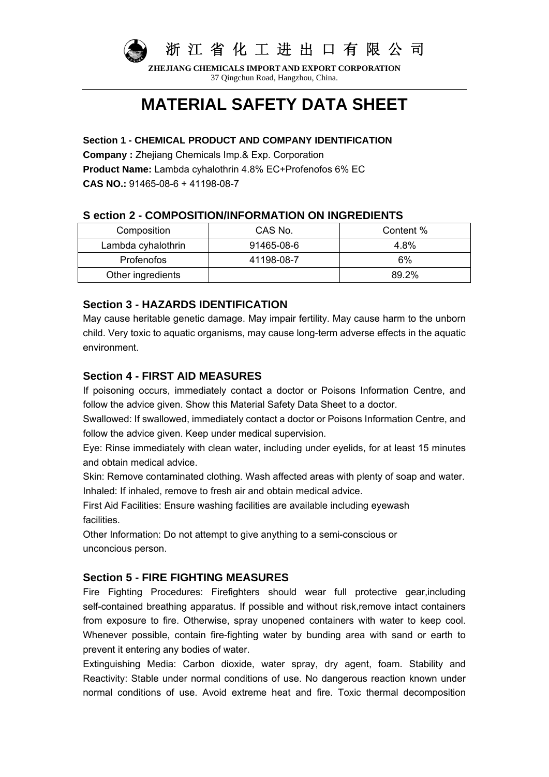

**ZHEJIANG CHEMICALS IMPORT AND EXPORT CORPORATION** 37 Qingchun Road, Hangzhou, China.

# **MATERIAL SAFETY DATA SHEET**

### **Section 1 - CHEMICAL PRODUCT AND COMPANY IDENTIFICATION**

**Company :** Zhejiang Chemicals Imp.& Exp. Corporation

**Product Name:** Lambda cyhalothrin 4.8% EC+Profenofos 6% EC

**CAS NO.:** 91465-08-6 + 41198-08-7

# **S ection 2 - COMPOSITION/INFORMATION ON INGREDIENTS**

| Composition        | CAS No.    | Content % |
|--------------------|------------|-----------|
| Lambda cyhalothrin | 91465-08-6 | 4.8%      |
| <b>Profenofos</b>  | 41198-08-7 | 6%        |
| Other ingredients  |            | 89.2%     |

# **Section 3 - HAZARDS IDENTIFICATION**

May cause heritable genetic damage. May impair fertility. May cause harm to the unborn child. Very toxic to aquatic organisms, may cause long-term adverse effects in the aquatic environment.

# **Section 4 - FIRST AID MEASURES**

If poisoning occurs, immediately contact a doctor or Poisons Information Centre, and follow the advice given. Show this Material Safety Data Sheet to a doctor.

Swallowed: If swallowed, immediately contact a doctor or Poisons Information Centre, and follow the advice given. Keep under medical supervision.

Eye: Rinse immediately with clean water, including under eyelids, for at least 15 minutes and obtain medical advice.

Skin: Remove contaminated clothing. Wash affected areas with plenty of soap and water. Inhaled: If inhaled, remove to fresh air and obtain medical advice.

First Aid Facilities: Ensure washing facilities are available including eyewash facilities.

Other Information: Do not attempt to give anything to a semi-conscious or unconcious person.

# **Section 5 - FIRE FIGHTING MEASURES**

Fire Fighting Procedures: Firefighters should wear full protective gear,including self-contained breathing apparatus. If possible and without risk, remove intact containers from exposure to fire. Otherwise, spray unopened containers with water to keep cool. Whenever possible, contain fire-fighting water by bunding area with sand or earth to prevent it entering any bodies of water.

Extinguishing Media: Carbon dioxide, water spray, dry agent, foam. Stability and Reactivity: Stable under normal conditions of use. No dangerous reaction known under normal conditions of use. Avoid extreme heat and fire. Toxic thermal decomposition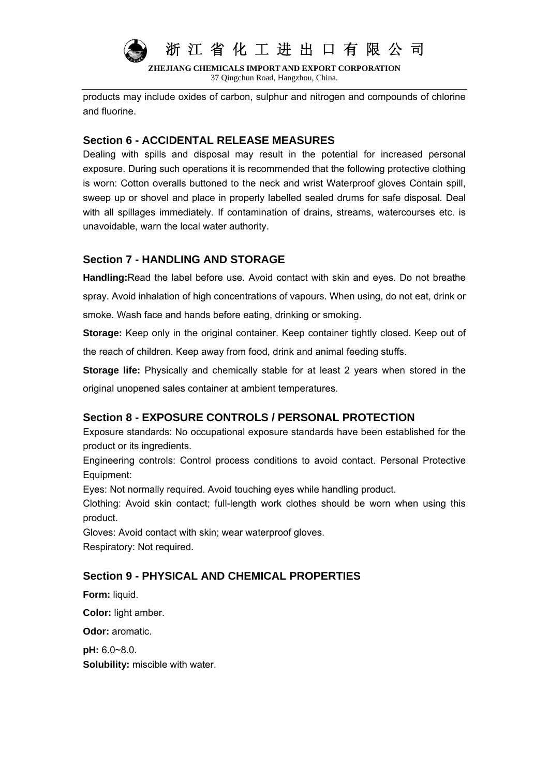

**ZHEJIANG CHEMICALS IMPORT AND EXPORT CORPORATION** 37 Qingchun Road, Hangzhou, China.

products may include oxides of carbon, sulphur and nitrogen and compounds of chlorine and fluorine.

# **Section 6 - ACCIDENTAL RELEASE MEASURES**

Dealing with spills and disposal may result in the potential for increased personal exposure. During such operations it is recommended that the following protective clothing is worn: Cotton overalls buttoned to the neck and wrist Waterproof gloves Contain spill, sweep up or shovel and place in properly labelled sealed drums for safe disposal. Deal with all spillages immediately. If contamination of drains, streams, watercourses etc. is unavoidable, warn the local water authority.

# **Section 7 - HANDLING AND STORAGE**

**Handling:**Read the label before use. Avoid contact with skin and eyes. Do not breathe spray. Avoid inhalation of high concentrations of vapours. When using, do not eat, drink or smoke. Wash face and hands before eating, drinking or smoking.

**Storage:** Keep only in the original container. Keep container tightly closed. Keep out of the reach of children. Keep away from food, drink and animal feeding stuffs.

**Storage life:** Physically and chemically stable for at least 2 years when stored in the original unopened sales container at ambient temperatures.

# **Section 8 - EXPOSURE CONTROLS / PERSONAL PROTECTION**

Exposure standards: No occupational exposure standards have been established for the product or its ingredients.

Engineering controls: Control process conditions to avoid contact. Personal Protective Equipment:

Eyes: Not normally required. Avoid touching eyes while handling product.

Clothing: Avoid skin contact; full-length work clothes should be worn when using this product.

Gloves: Avoid contact with skin; wear waterproof gloves. Respiratory: Not required.

# **Section 9 - PHYSICAL AND CHEMICAL PROPERTIES**

**Form:** liquid.

**Color:** light amber.

**Odor:** aromatic.

**pH:** 6.0~8.0.

**Solubility:** miscible with water.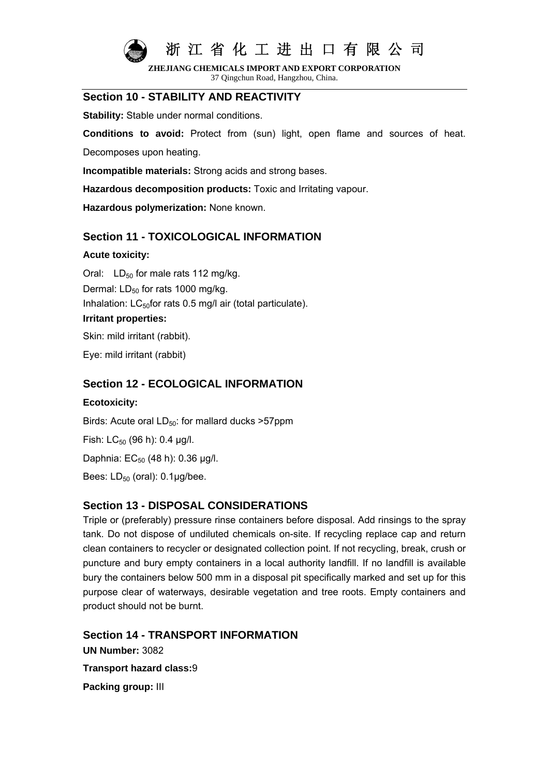

**ZHEJIANG CHEMICALS IMPORT AND EXPORT CORPORATION** 37 Qingchun Road, Hangzhou, China.

# **Section 10 - STABILITY AND REACTIVITY**

**Stability:** Stable under normal conditions.

**Conditions to avoid:** Protect from (sun) light, open flame and sources of heat.

Decomposes upon heating.

**Incompatible materials:** Strong acids and strong bases.

**Hazardous decomposition products:** Toxic and Irritating vapour.

**Hazardous polymerization:** None known.

### **Section 11 - TOXICOLOGICAL INFORMATION**

#### **Acute toxicity:**

Oral:  $LD_{50}$  for male rats 112 mg/kg. Dermal: LD<sub>50</sub> for rats 1000 mg/kg. Inhalation:  $LC_{50}$ for rats 0.5 mg/l air (total particulate). **Irritant properties:**  Skin: mild irritant (rabbit).

Eye: mild irritant (rabbit)

### **Section 12 - ECOLOGICAL INFORMATION**

### **Ecotoxicity:**

Birds: Acute oral  $LD_{50}$ : for mallard ducks >57ppm Fish:  $LC_{50}$  (96 h): 0.4 µg/l. Daphnia:  $EC_{50}$  (48 h): 0.36 μg/l. Bees:  $LD_{50}$  (oral):  $0.1 \mu g/$ bee.

### **Section 13 - DISPOSAL CONSIDERATIONS**

Triple or (preferably) pressure rinse containers before disposal. Add rinsings to the spray tank. Do not dispose of undiluted chemicals on-site. If recycling replace cap and return clean containers to recycler or designated collection point. If not recycling, break, crush or puncture and bury empty containers in a local authority landfill. If no landfill is available bury the containers below 500 mm in a disposal pit specifically marked and set up for this purpose clear of waterways, desirable vegetation and tree roots. Empty containers and product should not be burnt.

**Section 14 - TRANSPORT INFORMATION UN Number:** 3082 **Transport hazard class:**9 **Packing group:** III